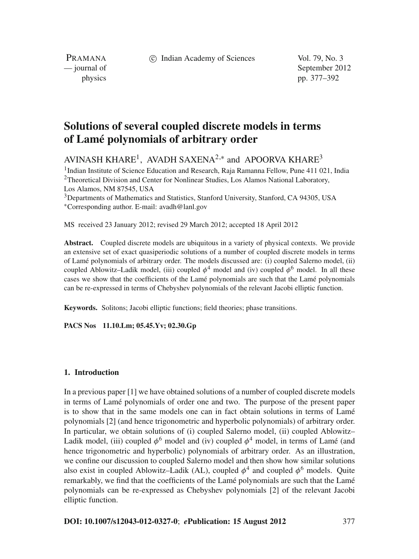c Indian Academy of Sciences Vol. 79, No. 3

PRAMANA

— journal of September 2012 physics pp. 377–392

# **Solutions of several coupled discrete models in terms of Lamé polynomials of arbitrary order**

AVINASH KHARE<sup>1</sup>, AVADH SAXENA<sup>2,\*</sup> and APOORVA KHARE<sup>3</sup>

<sup>1</sup>Indian Institute of Science Education and Research, Raja Ramanna Fellow, Pune 411 021, India <sup>2</sup>Theoretical Division and Center for Nonlinear Studies, Los Alamos National Laboratory, Los Alamos, NM 87545, USA <sup>3</sup>Departments of Mathematics and Statistics, Stanford University, Stanford, CA 94305, USA

<sup>∗</sup>Corresponding author. E-mail: avadh@lanl.gov

MS received 23 January 2012; revised 29 March 2012; accepted 18 April 2012

**Abstract.** Coupled discrete models are ubiquitous in a variety of physical contexts. We provide an extensive set of exact quasiperiodic solutions of a number of coupled discrete models in terms of Lamé polynomials of arbitrary order. The models discussed are: (i) coupled Salerno model, (ii) coupled Ablowitz–Ladik model, (iii) coupled  $\phi^4$  model and (iv) coupled  $\phi^6$  model. In all these cases we show that the coefficients of the Lamé polynomials are such that the Lamé polynomials can be re-expressed in terms of Chebyshev polynomials of the relevant Jacobi elliptic function.

**Keywords.** Solitons; Jacobi elliptic functions; field theories; phase transitions.

**PACS Nos 11.10.Lm; 05.45.Yv; 02.30.Gp**

# **1. Introduction**

In a previous paper [1] we have obtained solutions of a number of coupled discrete models in terms of Lamé polynomials of order one and two. The purpose of the present paper is to show that in the same models one can in fact obtain solutions in terms of Lamé polynomials [2] (and hence trigonometric and hyperbolic polynomials) of arbitrary order. In particular, we obtain solutions of (i) coupled Salerno model, (ii) coupled Ablowitz– Ladik model, (iii) coupled  $\phi^6$  model and (iv) coupled  $\phi^4$  model, in terms of Lamé (and hence trigonometric and hyperbolic) polynomials of arbitrary order. As an illustration, we confine our discussion to coupled Salerno model and then show how similar solutions also exist in coupled Ablowitz–Ladik (AL), coupled  $\phi^4$  and coupled  $\phi^6$  models. Quite remarkably, we find that the coefficients of the Lamé polynomials are such that the Lamé polynomials can be re-expressed as Chebyshev polynomials [2] of the relevant Jacobi elliptic function.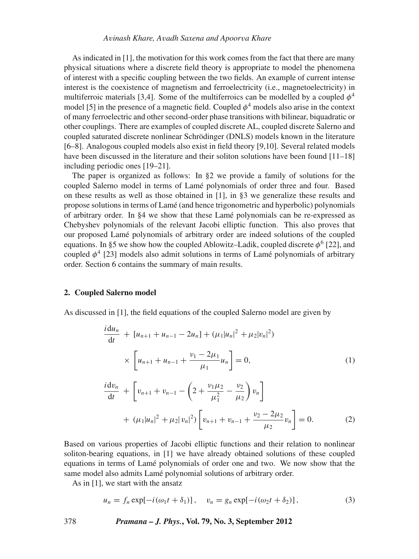As indicated in [1], the motivation for this work comes from the fact that there are many physical situations where a discrete field theory is appropriate to model the phenomena of interest with a specific coupling between the two fields. An example of current intense interest is the coexistence of magnetism and ferroelectricity (i.e., magnetoelectricity) in multiferroic materials [3,4]. Some of the multiferroics can be modelled by a coupled  $\phi^4$ model [5] in the presence of a magnetic field. Coupled  $\phi^4$  models also arise in the context of many ferroelectric and other second-order phase transitions with bilinear, biquadratic or other couplings. There are examples of coupled discrete AL, coupled discrete Salerno and coupled saturated discrete nonlinear Schrödinger (DNLS) models known in the literature [6–8]. Analogous coupled models also exist in field theory [9,10]. Several related models have been discussed in the literature and their soliton solutions have been found [11–18] including periodic ones [19–21].

The paper is organized as follows: In §2 we provide a family of solutions for the coupled Salerno model in terms of Lamé polynomials of order three and four. Based on these results as well as those obtained in [1], in §3 we generalize these results and propose solutions in terms of Lamé (and hence trigonometric and hyperbolic) polynomials of arbitrary order. In §4 we show that these Lamé polynomials can be re-expressed as Chebyshev polynomials of the relevant Jacobi elliptic function. This also proves that our proposed Lamé polynomials of arbitrary order are indeed solutions of the coupled equations. In §5 we show how the coupled Ablowitz–Ladik, coupled discrete  $\phi^6$  [22], and coupled  $\phi^4$  [23] models also admit solutions in terms of Lamé polynomials of arbitrary order. Section 6 contains the summary of main results.

# **2. Coupled Salerno model**

As discussed in [1], the field equations of the coupled Salerno model are given by

$$
\frac{i \, du_n}{dt} + [u_{n+1} + u_{n-1} - 2u_n] + (\mu_1 |u_n|^2 + \mu_2 |v_n|^2)
$$
\n
$$
\times \left[ u_{n+1} + u_{n-1} + \frac{v_1 - 2\mu_1}{\mu_1} u_n \right] = 0, \tag{1}
$$
\n
$$
\frac{i \, dv_n}{dt} + \left[ v_{n+1} + v_{n-1} - \left( 2 + \frac{v_1 \mu_2}{\mu_1^2} - \frac{v_2}{\mu_2} \right) v_n \right]
$$
\n
$$
+ (\mu_1 |u_n|^2 + \mu_2 |v_n|^2) \left[ v_{n+1} + v_{n-1} + \frac{v_2 - 2\mu_2}{\mu_2} v_n \right] = 0. \tag{2}
$$

Based on various properties of Jacobi elliptic functions and their relation to nonlinear soliton-bearing equations, in [1] we have already obtained solutions of these coupled equations in terms of Lamé polynomials of order one and two. We now show that the same model also admits Lamé polynomial solutions of arbitrary order.

As in [1], we start with the ansatz

$$
u_n = f_n \exp[-i(\omega_1 t + \delta_1)], \quad v_n = g_n \exp[-i(\omega_2 t + \delta_2)], \tag{3}
$$

378 *Pramana – J. Phys.***, Vol. 79, No. 3, September 2012**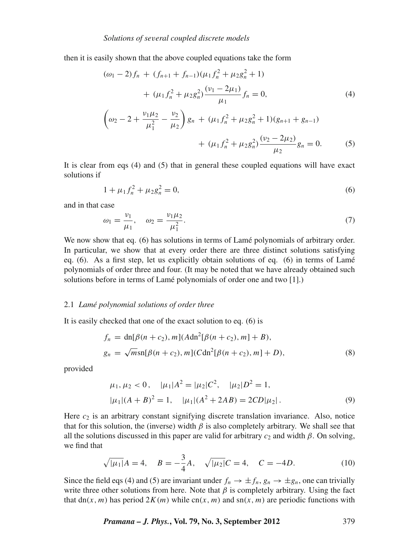then it is easily shown that the above coupled equations take the form

$$
(\omega_1 - 2) f_n + (f_{n+1} + f_{n-1})(\mu_1 f_n^2 + \mu_2 g_n^2 + 1)
$$
  
+ 
$$
(\mu_1 f_n^2 + \mu_2 g_n^2) \frac{(\nu_1 - 2\mu_1)}{\mu_1} f_n = 0,
$$
  

$$
\left(\omega_2 - 2 + \frac{\nu_1 \mu_2}{\mu_1^2} - \frac{\nu_2}{\mu_2}\right) g_n + (\mu_1 f_n^2 + \mu_2 g_n^2 + 1)(g_{n+1} + g_{n-1})
$$
  
+ 
$$
(\mu_1 f_n^2 + \mu_2 g_n^2) \frac{(\nu_2 - 2\mu_2)}{\mu_2} g_n = 0.
$$
 (5)

It is clear from eqs (4) and (5) that in general these coupled equations will have exact solutions if

$$
1 + \mu_1 f_n^2 + \mu_2 g_n^2 = 0,\tag{6}
$$

and in that case

$$
\omega_1 = \frac{\nu_1}{\mu_1}, \quad \omega_2 = \frac{\nu_1 \mu_2}{\mu_1^2}.
$$
\n(7)

We now show that eq. (6) has solutions in terms of Lamé polynomials of arbitrary order. In particular, we show that at every order there are three distinct solutions satisfying eq. (6). As a first step, let us explicitly obtain solutions of eq. (6) in terms of Lamé polynomials of order three and four. (It may be noted that we have already obtained such solutions before in terms of Lamé polynomials of order one and two [1].)

# 2.1 *Lamé polynomial solutions of order three*

It is easily checked that one of the exact solution to eq. (6) is

$$
f_n = \text{dn}[\beta(n + c_2), m](A \text{dn}^2[\beta(n + c_2), m] + B),
$$
  
\n
$$
g_n = \sqrt{m} \text{sn}[\beta(n + c_2), m](C \text{dn}^2[\beta(n + c_2), m] + D),
$$
\n(8)

provided

$$
\mu_1, \mu_2 < 0, \quad |\mu_1| A^2 = |\mu_2| C^2, \quad |\mu_2| D^2 = 1,
$$
\n
$$
|\mu_1| (A + B)^2 = 1, \quad |\mu_1| (A^2 + 2AB) = 2CD|\mu_2|.
$$
\n
$$
(9)
$$

Here  $c_2$  is an arbitrary constant signifying discrete translation invariance. Also, notice that for this solution, the (inverse) width  $\beta$  is also completely arbitrary. We shall see that all the solutions discussed in this paper are valid for arbitrary  $c_2$  and width  $\beta$ . On solving, we find that

$$
\sqrt{|\mu_1|}A = 4, \quad B = -\frac{3}{4}A, \quad \sqrt{|\mu_2|}C = 4, \quad C = -4D. \tag{10}
$$

Since the field eqs (4) and (5) are invariant under  $f_n \to \pm f_n$ ,  $g_n \to \pm g_n$ , one can trivially write three other solutions from here. Note that  $\beta$  is completely arbitrary. Using the fact that dn(*x*, *m*) has period  $2K(m)$  while cn(*x*, *m*) and sn(*x*, *m*) are periodic functions with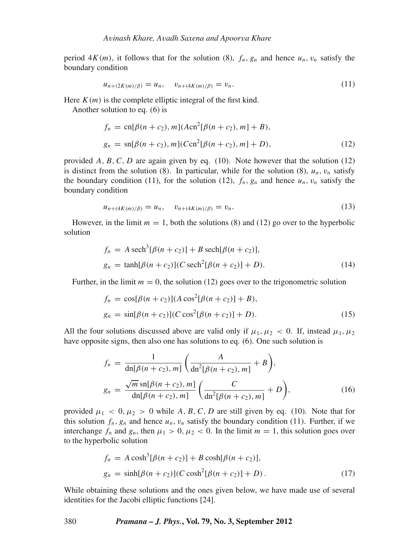period  $4K(m)$ , it follows that for the solution (8),  $f_n$ ,  $g_n$  and hence  $u_n$ ,  $v_n$  satisfy the boundary condition

$$
u_{n+(2K(m)/\beta)} = u_n, \quad v_{n+(4K(m)/\beta)} = v_n.
$$
\n(11)

Here  $K(m)$  is the complete elliptic integral of the first kind.

Another solution to eq. (6) is

$$
f_n = \text{cn}[\beta(n+c_2), m](A\text{cn}^2[\beta(n+c_2), m] + B),
$$
  
\n
$$
g_n = \text{sn}[\beta(n+c_2), m](C\text{cn}^2[\beta(n+c_2), m] + D),
$$
\n(12)

provided  $A, B, C, D$  are again given by eq. (10). Note however that the solution (12) is distinct from the solution (8). In particular, while for the solution (8),  $u_n, v_n$  satisfy the boundary condition (11), for the solution (12),  $f_n$ ,  $g_n$  and hence  $u_n$ ,  $v_n$  satisfy the boundary condition

$$
u_{n+(4K(m)/\beta)} = u_n, \quad v_{n+(4K(m)/\beta)} = v_n.
$$
\n(13)

However, in the limit  $m = 1$ , both the solutions (8) and (12) go over to the hyperbolic solution

$$
f_n = A \operatorname{sech}^3[\beta(n+c_2)] + B \operatorname{sech}[\beta(n+c_2)],
$$
  
\n
$$
g_n = \tanh[\beta(n+c_2)](C \operatorname{sech}^2[\beta(n+c_2)] + D).
$$
\n(14)

Further, in the limit  $m = 0$ , the solution (12) goes over to the trigonometric solution

$$
f_n = \cos[\beta(n + c_2)](A \cos^2[\beta(n + c_2)] + B),
$$
  
\n
$$
g_n = \sin[\beta(n + c_2)](C \cos^2[\beta(n + c_2)] + D).
$$
\n(15)

All the four solutions discussed above are valid only if  $\mu_1, \mu_2 < 0$ . If, instead  $\mu_1, \mu_2$ have opposite signs, then also one has solutions to eq. (6). One such solution is

$$
f_n = \frac{1}{\text{dn}[\beta(n+c_2), m]} \left( \frac{A}{\text{dn}^2[\beta(n+c_2), m]} + B \right),
$$
  

$$
g_n = \frac{\sqrt{m} \text{sn}[\beta(n+c_2), m]}{\text{dn}[\beta(n+c_2), m]} \left( \frac{C}{\text{dn}^2[\beta(n+c_2), m]} + D \right),
$$
 (16)

provided  $\mu_1 < 0, \mu_2 > 0$  while A, B, C, D are still given by eq. (10). Note that for this solution  $f_n$ ,  $g_n$  and hence  $u_n$ ,  $v_n$  satisfy the boundary condition (11). Further, if we interchange  $f_n$  and  $g_n$ , then  $\mu_1 > 0$ ,  $\mu_2 < 0$ . In the limit  $m = 1$ , this solution goes over to the hyperbolic solution

$$
f_n = A \cosh^3[\beta(n + c_2)] + B \cosh[\beta(n + c_2)],
$$
  
\n
$$
g_n = \sinh[\beta(n + c_2)](C \cosh^2[\beta(n + c_2)] + D).
$$
\n(17)

While obtaining these solutions and the ones given below, we have made use of several identities for the Jacobi elliptic functions [24].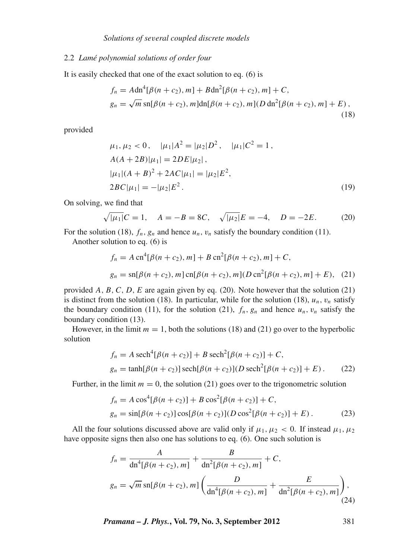# 2.2 *Lamé polynomial solutions of order four*

It is easily checked that one of the exact solution to eq. (6) is

$$
f_n = A \text{dn}^4 [\beta(n + c_2), m] + B \text{dn}^2 [\beta(n + c_2), m] + C,
$$
  
\n
$$
g_n = \sqrt{m} \text{sn} [\beta(n + c_2), m] \text{dn} [\beta(n + c_2), m] (D \text{dn}^2 [\beta(n + c_2), m] + E),
$$
\n(18)

provided

$$
\mu_1, \mu_2 < 0, \quad |\mu_1| A^2 = |\mu_2| D^2, \quad |\mu_1| C^2 = 1,
$$
\n
$$
A(A + 2B)|\mu_1| = 2DE|\mu_2|,
$$
\n
$$
|\mu_1|(A + B)^2 + 2AC|\mu_1| = |\mu_2| E^2,
$$
\n
$$
2BC|\mu_1| = -|\mu_2| E^2.
$$
\n(19)

On solving, we find that

$$
\sqrt{|\mu_1|}C = 1
$$
,  $A = -B = 8C$ ,  $\sqrt{|\mu_2|}E = -4$ ,  $D = -2E$ . (20)

For the solution (18),  $f_n$ ,  $g_n$  and hence  $u_n$ ,  $v_n$  satisfy the boundary condition (11).

Another solution to eq. (6) is

$$
f_n = A \operatorname{cn}^4[\beta(n + c_2), m] + B \operatorname{cn}^2[\beta(n + c_2), m] + C,
$$
  
\n
$$
g_n = \operatorname{sn}[\beta(n + c_2), m] \operatorname{cn}[\beta(n + c_2), m] (D \operatorname{cn}^2[\beta(n + c_2), m] + E), \quad (21)
$$

provided  $A$ ,  $B$ ,  $C$ ,  $D$ ,  $E$  are again given by eq. (20). Note however that the solution (21) is distinct from the solution (18). In particular, while for the solution (18),  $u_n$ ,  $v_n$  satisfy the boundary condition (11), for the solution (21),  $f_n$ ,  $g_n$  and hence  $u_n$ ,  $v_n$  satisfy the boundary condition (13).

However, in the limit  $m = 1$ , both the solutions (18) and (21) go over to the hyperbolic solution

$$
f_n = A \operatorname{sech}^4[\beta(n + c_2)] + B \operatorname{sech}^2[\beta(n + c_2)] + C,
$$
  
\n
$$
g_n = \tanh[\beta(n + c_2)] \operatorname{sech}[\beta(n + c_2)] (D \operatorname{sech}^2[\beta(n + c_2)] + E).
$$
 (22)

Further, in the limit  $m = 0$ , the solution (21) goes over to the trigonometric solution

$$
f_n = A \cos^4[\beta(n + c_2)] + B \cos^2[\beta(n + c_2)] + C,
$$
  
\n
$$
g_n = \sin[\beta(n + c_2)] \cos[\beta(n + c_2)] (D \cos^2[\beta(n + c_2)] + E).
$$
 (23)

All the four solutions discussed above are valid only if  $\mu_1, \mu_2 < 0$ . If instead  $\mu_1, \mu_2$ have opposite signs then also one has solutions to eq. (6). One such solution is

$$
f_n = \frac{A}{\mathrm{dn}^4[\beta(n+c_2), m]} + \frac{B}{\mathrm{dn}^2[\beta(n+c_2), m]} + C,
$$
  

$$
g_n = \sqrt{m} \operatorname{sn}[\beta(n+c_2), m] \left( \frac{D}{\mathrm{dn}^4[\beta(n+c_2), m]} + \frac{E}{\mathrm{dn}^2[\beta(n+c_2), m]} \right),
$$
(24)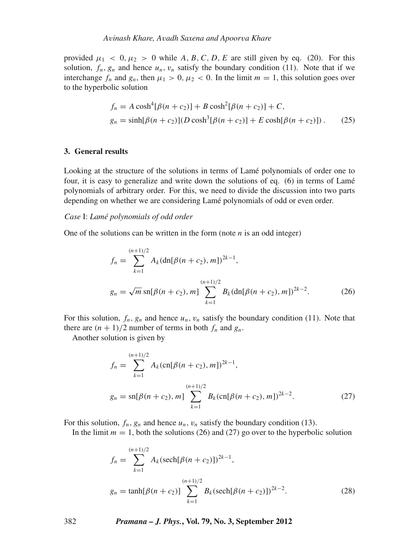provided  $\mu_1 < 0, \mu_2 > 0$  while A, B, C, D, E are still given by eq. (20). For this solution,  $f_n$ ,  $g_n$  and hence  $u_n$ ,  $v_n$  satisfy the boundary condition (11). Note that if we interchange  $f_n$  and  $g_n$ , then  $\mu_1 > 0$ ,  $\mu_2 < 0$ . In the limit  $m = 1$ , this solution goes over to the hyperbolic solution

$$
f_n = A \cosh^4[\beta(n + c_2)] + B \cosh^2[\beta(n + c_2)] + C,
$$
  
\n
$$
g_n = \sinh[\beta(n + c_2)](D \cosh^3[\beta(n + c_2)] + E \cosh[\beta(n + c_2)])
$$
. (25)

# **3. General results**

Looking at the structure of the solutions in terms of Lamé polynomials of order one to four, it is easy to generalize and write down the solutions of eq. (6) in terms of Lamé polynomials of arbitrary order. For this, we need to divide the discussion into two parts depending on whether we are considering Lamé polynomials of odd or even order.

#### *Case* I: *Lamé polynomials of odd order*

One of the solutions can be written in the form (note *n* is an odd integer)

$$
f_n = \sum_{k=1}^{(n+1)/2} A_k (\mathrm{dn}[\beta(n+c_2), m])^{2k-1},
$$
  
\n
$$
g_n = \sqrt{m} \mathrm{sn}[\beta(n+c_2), m] \sum_{k=1}^{(n+1)/2} B_k (\mathrm{dn}[\beta(n+c_2), m])^{2k-2}.
$$
 (26)

For this solution,  $f_n$ ,  $g_n$  and hence  $u_n$ ,  $v_n$  satisfy the boundary condition (11). Note that there are  $(n + 1)/2$  number of terms in both  $f_n$  and  $g_n$ .

Another solution is given by

$$
f_n = \sum_{k=1}^{(n+1)/2} A_k (\text{cn}[\beta(n+c_2), m])^{2k-1},
$$
  
\n
$$
g_n = \text{sn}[\beta(n+c_2), m] \sum_{k=1}^{(n+1)/2} B_k (\text{cn}[\beta(n+c_2), m])^{2k-2}.
$$
\n(27)

For this solution,  $f_n$ ,  $g_n$  and hence  $u_n$ ,  $v_n$  satisfy the boundary condition (13).

In the limit  $m = 1$ , both the solutions (26) and (27) go over to the hyperbolic solution

$$
f_n = \sum_{k=1}^{(n+1)/2} A_k (\operatorname{sech}[\beta(n+c_2)])^{2k-1},
$$
  
\n
$$
g_n = \tanh[\beta(n+c_2)] \sum_{k=1}^{(n+1)/2} B_k (\operatorname{sech}[\beta(n+c_2)])^{2k-2}.
$$
\n(28)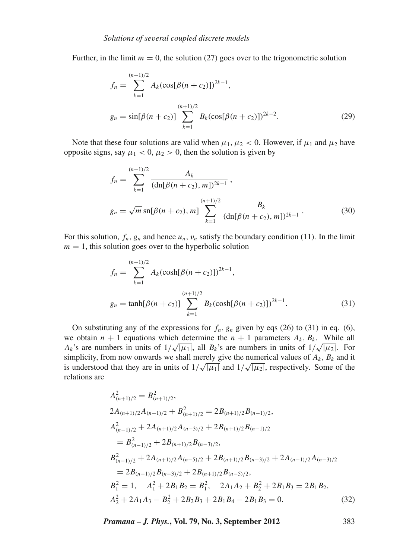Further, in the limit  $m = 0$ , the solution (27) goes over to the trigonometric solution

$$
f_n = \sum_{k=1}^{(n+1)/2} A_k (\cos[\beta(n+c_2)])^{2k-1},
$$
  
\n
$$
g_n = \sin[\beta(n+c_2)] \sum_{k=1}^{(n+1)/2} B_k (\cos[\beta(n+c_2)])^{2k-2}.
$$
\n(29)

Note that these four solutions are valid when  $\mu_1, \mu_2 < 0$ . However, if  $\mu_1$  and  $\mu_2$  have opposite signs, say  $\mu_1 < 0$ ,  $\mu_2 > 0$ , then the solution is given by

$$
f_n = \sum_{k=1}^{(n+1)/2} \frac{A_k}{(\mathrm{dn}[\beta(n+c_2), m])^{2k-1}},
$$
  

$$
g_n = \sqrt{m} \operatorname{sn}[\beta(n+c_2), m] \sum_{k=1}^{(n+1)/2} \frac{B_k}{(\mathrm{dn}[\beta(n+c_2), m])^{2k-1}}.
$$
 (30)

For this solution,  $f_n$ ,  $g_n$  and hence  $u_n$ ,  $v_n$  satisfy the boundary condition (11). In the limit  $m = 1$ , this solution goes over to the hyperbolic solution

$$
f_n = \sum_{k=1}^{(n+1)/2} A_k (\cosh[\beta(n+c_2)])^{2k-1},
$$
  
\n
$$
g_n = \tanh[\beta(n+c_2)] \sum_{k=1}^{(n+1)/2} B_k (\cosh[\beta(n+c_2)])^{2k-1}.
$$
\n(31)

On substituting any of the expressions for  $f_n$ ,  $g_n$  given by eqs (26) to (31) in eq. (6), we obtain  $n + 1$  equations which determine the  $n + 1$  parameters  $A_k$ ,  $B_k$ . While all *Ak*'s are numbers in units of  $1/\sqrt{|\mu_1|}$ , all *B<sub>k</sub>*'s are numbers in units of  $1/\sqrt{|\mu_2|}$ . For simplicity, from now onwards we shall merely give the numerical values of  $A_k$ ,  $B_k$  and it is understood that they are in units of  $1/\sqrt{|\mu_1|}$  and  $1/\sqrt{|\mu_2|}$ , respectively. Some of the relations are

$$
A_{(n+1)/2}^{2} = B_{(n+1)/2}^{2},
$$
  
\n
$$
2A_{(n+1)/2}A_{(n-1)/2} + B_{(n+1)/2}^{2} = 2B_{(n+1)/2}B_{(n-1)/2},
$$
  
\n
$$
A_{(n-1)/2}^{2} + 2A_{(n+1)/2}A_{(n-3)/2} + 2B_{(n+1)/2}B_{(n-1)/2}
$$
  
\n
$$
= B_{(n-1)/2}^{2} + 2B_{(n+1)/2}B_{(n-3)/2},
$$
  
\n
$$
B_{(n-1)/2}^{2} + 2A_{(n+1)/2}A_{(n-5)/2} + 2B_{(n+1)/2}B_{(n-3)/2} + 2A_{(n-1)/2}A_{(n-3)/2}
$$
  
\n
$$
= 2B_{(n-1)/2}B_{(n-3)/2} + 2B_{(n+1)/2}B_{(n-5)/2},
$$
  
\n
$$
B_{1}^{2} = 1, \quad A_{1}^{2} + 2B_{1}B_{2} = B_{1}^{2}, \quad 2A_{1}A_{2} + B_{2}^{2} + 2B_{1}B_{3} = 2B_{1}B_{2},
$$
  
\n
$$
A_{2}^{2} + 2A_{1}A_{3} - B_{2}^{2} + 2B_{2}B_{3} + 2B_{1}B_{4} - 2B_{1}B_{3} = 0.
$$
  
\n(32)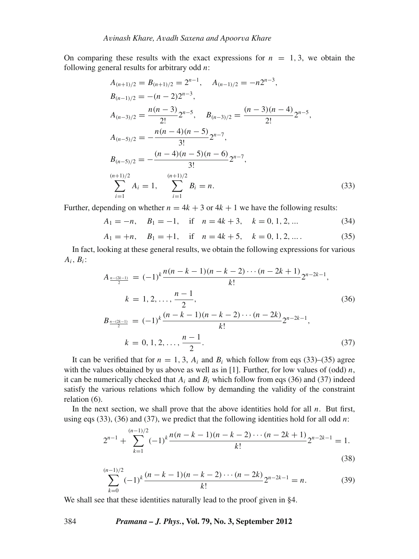On comparing these results with the exact expressions for  $n = 1, 3$ , we obtain the following general results for arbitrary odd *n*:

$$
A_{(n+1)/2} = B_{(n+1)/2} = 2^{n-1}, \quad A_{(n-1)/2} = -n2^{n-3},
$$
  
\n
$$
B_{(n-1)/2} = -(n-2)2^{n-3},
$$
  
\n
$$
A_{(n-3)/2} = \frac{n(n-3)}{2!}2^{n-5}, \quad B_{(n-3)/2} = \frac{(n-3)(n-4)}{2!}2^{n-5},
$$
  
\n
$$
A_{(n-5)/2} = -\frac{n(n-4)(n-5)}{3!}2^{n-7},
$$
  
\n
$$
B_{(n-5)/2} = -\frac{(n-4)(n-5)(n-6)}{3!}2^{n-7},
$$
  
\n
$$
\sum_{i=1}^{(n+1)/2} A_i = 1, \quad \sum_{i=1}^{(n+1)/2} B_i = n.
$$
  
\n(33)

Further, depending on whether  $n = 4k + 3$  or  $4k + 1$  we have the following results:

*A*<sub>1</sub> = −*n*, *B*<sub>1</sub> = −1, if *n* = 4*k* + 3, *k* = 0, 1, 2, ... (34)

$$
A_1 = +n, \quad B_1 = +1, \quad \text{if} \quad n = 4k + 5, \quad k = 0, 1, 2, \dots. \tag{35}
$$

In fact, looking at these general results, we obtain the following expressions for various  $A_i, B_i$ :

$$
A_{\frac{n-(2k-1)}{2}} = (-1)^k \frac{n(n-k-1)(n-k-2)\cdots(n-2k+1)}{k!} 2^{n-2k-1},
$$
  
\n
$$
k = 1, 2, ..., \frac{n-1}{2},
$$
\n(36)

$$
B_{\frac{n-(2k-1)}{2}} = (-1)^k \frac{(n-k-1)(n-k-2)\cdots(n-2k)}{k!} 2^{n-2k-1},
$$
  
\n
$$
k = 0, 1, 2, \dots, \frac{n-1}{2}.
$$
\n(37)

It can be verified that for  $n = 1, 3, A_i$  and  $B_i$  which follow from eqs (33)–(35) agree with the values obtained by us above as well as in [1]. Further, for low values of (odd)  $n$ , it can be numerically checked that  $A_i$  and  $B_i$  which follow from eqs (36) and (37) indeed satisfy the various relations which follow by demanding the validity of the constraint relation (6).

In the next section, we shall prove that the above identities hold for all *n*. But first, using eqs (33), (36) and (37), we predict that the following identities hold for all odd *n*:

$$
2^{n-1} + \sum_{k=1}^{(n-1)/2} (-1)^k \frac{n(n-k-1)(n-k-2)\cdots(n-2k+1)}{k!} 2^{n-2k-1} = 1.
$$
\n(38)

$$
\sum_{k=0}^{(n-1)/2} (-1)^k \frac{(n-k-1)(n-k-2)\cdots(n-2k)}{k!} 2^{n-2k-1} = n.
$$
 (39)

We shall see that these identities naturally lead to the proof given in §4.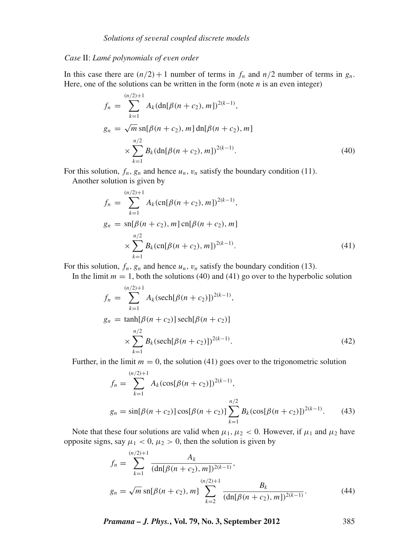# *Case* II: *Lamé polynomials of e*v*en order*

In this case there are  $(n/2) + 1$  number of terms in  $f_n$  and  $n/2$  number of terms in  $g_n$ . Here, one of the solutions can be written in the form (note  $n$  is an even integer)

$$
f_n = \sum_{k=1}^{(n/2)+1} A_k (\text{dn}[\beta(n+c_2), m])^{2(k-1)},
$$
  
\n
$$
g_n = \sqrt{m} \text{sn}[\beta(n+c_2), m] \text{dn}[\beta(n+c_2), m]
$$
  
\n
$$
\times \sum_{k=1}^{n/2} B_k (\text{dn}[\beta(n+c_2), m])^{2(k-1)}.
$$
\n(40)

For this solution,  $f_n$ ,  $g_n$  and hence  $u_n$ ,  $v_n$  satisfy the boundary condition (11).

Another solution is given by

$$
f_n = \sum_{k=1}^{(n/2)+1} A_k (\text{cn}[\beta(n+c_2), m])^{2(k-1)},
$$
  
\n
$$
g_n = \text{sn}[\beta(n+c_2), m] \text{cn}[\beta(n+c_2), m]
$$
  
\n
$$
\times \sum_{k=1}^{n/2} B_k (\text{cn}[\beta(n+c_2), m])^{2(k-1)}.
$$
\n(41)

For this solution,  $f_n$ ,  $g_n$  and hence  $u_n$ ,  $v_n$  satisfy the boundary condition (13).

In the limit  $m = 1$ , both the solutions (40) and (41) go over to the hyperbolic solution  $(n/2)+1$ 

$$
f_n = \sum_{k=1}^{\infty} A_k (\operatorname{sech}[\beta(n + c_2)])^{2(k-1)},
$$
  
\n
$$
g_n = \tanh[\beta(n + c_2)] \operatorname{sech}[\beta(n + c_2)]
$$
  
\n
$$
\times \sum_{k=1}^{n/2} B_k (\operatorname{sech}[\beta(n + c_2)])^{2(k-1)}.
$$
\n(42)

Further, in the limit  $m = 0$ , the solution (41) goes over to the trigonometric solution

$$
f_n = \sum_{k=1}^{(n/2)+1} A_k (\cos[\beta(n+c_2)])^{2(k-1)},
$$
  
\n
$$
g_n = \sin[\beta(n+c_2)] \cos[\beta(n+c_2)] \sum_{k=1}^{n/2} B_k (\cos[\beta(n+c_2)])^{2(k-1)}.
$$
 (43)

Note that these four solutions are valid when  $\mu_1, \mu_2 < 0$ . However, if  $\mu_1$  and  $\mu_2$  have opposite signs, say  $\mu_1 < 0$ ,  $\mu_2 > 0$ , then the solution is given by

$$
f_n = \sum_{k=1}^{(n/2)+1} \frac{A_k}{(\mathrm{dn}[\beta(n+c_2), m])^{2(k-1)}},
$$
  
\n
$$
g_n = \sqrt{m} \, \mathrm{sn}[\beta(n+c_2), m] \sum_{k=2}^{(n/2)+1} \frac{B_k}{(\mathrm{dn}[\beta(n+c_2), m])^{2(k-1)}}.
$$
\n(44)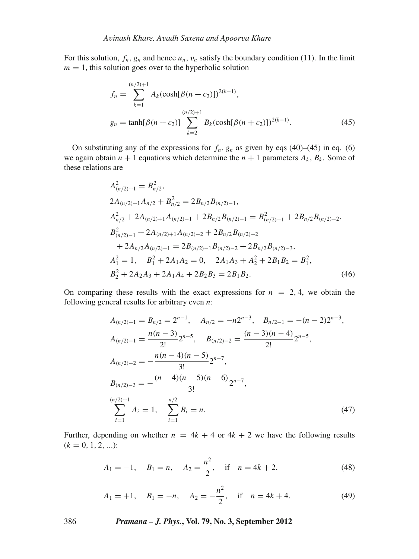For this solution,  $f_n$ ,  $g_n$  and hence  $u_n$ ,  $v_n$  satisfy the boundary condition (11). In the limit  $m = 1$ , this solution goes over to the hyperbolic solution

$$
f_n = \sum_{k=1}^{(n/2)+1} A_k (\cosh[\beta(n+c_2)])^{2(k-1)},
$$
  
\n
$$
g_n = \tanh[\beta(n+c_2)] \sum_{k=2}^{(n/2)+1} B_k (\cosh[\beta(n+c_2)])^{2(k-1)}.
$$
\n(45)

On substituting any of the expressions for  $f_n$ ,  $g_n$  as given by eqs (40)–(45) in eq. (6) we again obtain  $n + 1$  equations which determine the  $n + 1$  parameters  $A_k$ ,  $B_k$ . Some of these relations are

$$
A_{(n/2)+1}^{2} = B_{n/2}^{2},
$$
  
\n
$$
2A_{(n/2)+1}A_{n/2} + B_{n/2}^{2} = 2B_{n/2}B_{(n/2)-1},
$$
  
\n
$$
A_{n/2}^{2} + 2A_{(n/2)+1}A_{(n/2)-1} + 2B_{n/2}B_{(n/2)-1} = B_{(n/2)-1}^{2} + 2B_{n/2}B_{(n/2)-2},
$$
  
\n
$$
B_{(n/2)-1}^{2} + 2A_{(n/2)+1}A_{(n/2)-2} + 2B_{n/2}B_{(n/2)-2}
$$
  
\n
$$
+ 2A_{n/2}A_{(n/2)-1} = 2B_{(n/2)-1}B_{(n/2)-2} + 2B_{n/2}B_{(n/2)-3},
$$
  
\n
$$
A_{1}^{2} = 1, \quad B_{1}^{2} + 2A_{1}A_{2} = 0, \quad 2A_{1}A_{3} + A_{2}^{2} + 2B_{1}B_{2} = B_{1}^{2},
$$
  
\n
$$
B_{2}^{2} + 2A_{2}A_{3} + 2A_{1}A_{4} + 2B_{2}B_{3} = 2B_{1}B_{2}.
$$
  
\n(46)

On comparing these results with the exact expressions for  $n = 2, 4$ , we obtain the following general results for arbitrary even *n*:

$$
A_{(n/2)+1} = B_{n/2} = 2^{n-1}, \quad A_{n/2} = -n2^{n-3}, \quad B_{n/2-1} = -(n-2)2^{n-3},
$$
  
\n
$$
A_{(n/2)-1} = \frac{n(n-3)}{2!} 2^{n-5}, \quad B_{(n/2)-2} = \frac{(n-3)(n-4)}{2!} 2^{n-5},
$$
  
\n
$$
A_{(n/2)-2} = -\frac{n(n-4)(n-5)}{3!} 2^{n-7},
$$
  
\n
$$
B_{(n/2)-3} = -\frac{(n-4)(n-5)(n-6)}{3!} 2^{n-7},
$$
  
\n
$$
\sum_{i=1}^{(n/2)+1} A_i = 1, \quad \sum_{i=1}^{n/2} B_i = n.
$$
  
\n(47)

Further, depending on whether  $n = 4k + 4$  or  $4k + 2$  we have the following results  $(k = 0, 1, 2, \ldots)$ :

$$
A_1 = -1, \quad B_1 = n, \quad A_2 = \frac{n^2}{2}, \quad \text{if} \quad n = 4k + 2,\tag{48}
$$

$$
A_1 = +1, \quad B_1 = -n, \quad A_2 = -\frac{n^2}{2}, \quad \text{if} \quad n = 4k + 4. \tag{49}
$$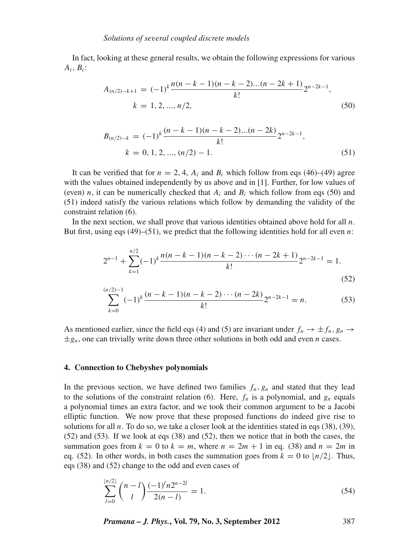In fact, looking at these general results, we obtain the following expressions for various *Ai*, *Bi* :

$$
A_{(n/2)-k+1} = (-1)^k \frac{n(n-k-1)(n-k-2)...(n-2k+1)}{k!} 2^{n-2k-1},
$$
  
\n
$$
k = 1, 2, ..., n/2,
$$
\n(50)

$$
B_{(n/2)-k} = (-1)^k \frac{(n-k-1)(n-k-2)...(n-2k)}{k!} 2^{n-2k-1},
$$
  
\n
$$
k = 0, 1, 2, ..., (n/2) - 1.
$$
\n(51)

It can be verified that for  $n = 2, 4, A_i$  and  $B_i$  which follow from eqs (46)–(49) agree with the values obtained independently by us above and in [1]. Further, for low values of (even) *n*, it can be numerically checked that  $A_i$  and  $B_i$  which follow from eqs (50) and (51) indeed satisfy the various relations which follow by demanding the validity of the constraint relation (6).

In the next section, we shall prove that various identities obtained above hold for all *n*. But first, using eqs (49)–(51), we predict that the following identities hold for all even *n*:

$$
2^{n-1} + \sum_{k=1}^{n/2} (-1)^k \frac{n(n-k-1)(n-k-2)\cdots(n-2k+1)}{k!} 2^{n-2k-1} = 1.
$$
\n(52)

$$
\sum_{k=0}^{(n/2)-1}(-1)^k\frac{(n-k-1)(n-k-2)\cdots(n-2k)}{k!}2^{n-2k-1}=n.
$$
 (53)

As mentioned earlier, since the field eqs (4) and (5) are invariant under  $f_n \to \pm f_n$ ,  $g_n \to$  $\pm g_n$ , one can trivially write down three other solutions in both odd and even *n* cases.

# **4. Connection to Chebyshev polynomials**

In the previous section, we have defined two families  $f_n$ ,  $g_n$  and stated that they lead to the solutions of the constraint relation (6). Here,  $f_n$  is a polynomial, and  $g_n$  equals a polynomial times an extra factor, and we took their common argument to be a Jacobi elliptic function. We now prove that these proposed functions do indeed give rise to solutions for all *n*. To do so, we take a closer look at the identities stated in eqs (38), (39), (52) and (53). If we look at eqs (38) and (52), then we notice that in both the cases, the summation goes from  $k = 0$  to  $k = m$ , where  $n = 2m + 1$  in eq. (38) and  $n = 2m$  in eq. (52). In other words, in both cases the summation goes from  $k = 0$  to  $n/2$ . Thus, eqs (38) and (52) change to the odd and even cases of

$$
\sum_{l=0}^{\lfloor n/2 \rfloor} {n-l \choose l} \frac{(-1)^l n 2^{n-2l}}{2(n-l)} = 1.
$$
 (54)

*Pramana – J. Phys.***, Vol. 79, No. 3, September 2012** 387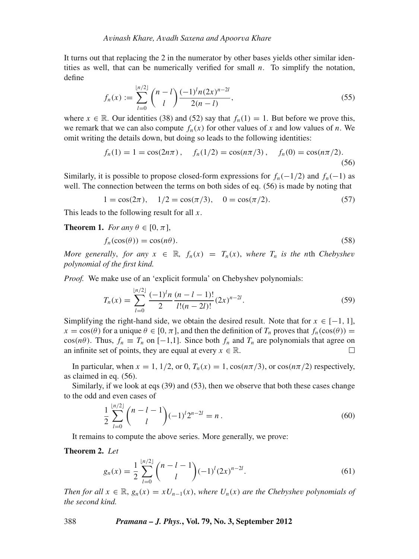It turns out that replacing the 2 in the numerator by other bases yields other similar identities as well, that can be numerically verified for small *n*. To simplify the notation, define

$$
f_n(x) := \sum_{l=0}^{\lfloor n/2 \rfloor} \binom{n-l}{l} \frac{(-1)^l n (2x)^{n-2l}}{2(n-l)},\tag{55}
$$

where  $x \in \mathbb{R}$ . Our identities (38) and (52) say that  $f_n(1) = 1$ . But before we prove this, we remark that we can also compute  $f_n(x)$  for other values of *x* and low values of *n*. We omit writing the details down, but doing so leads to the following identities:

$$
f_n(1) = 1 = \cos(2n\pi),
$$
  $f_n(1/2) = \cos(n\pi/3),$   $f_n(0) = \cos(n\pi/2).$  (56)

Similarly, it is possible to propose closed-form expressions for  $f_n(-1/2)$  and  $f_n(-1)$  as well. The connection between the terms on both sides of eq. (56) is made by noting that

$$
1 = \cos(2\pi), \quad 1/2 = \cos(\pi/3), \quad 0 = \cos(\pi/2). \tag{57}
$$

This leads to the following result for all *x*.

**Theorem 1.** *For any*  $\theta \in [0, \pi]$ ,

$$
f_n(\cos(\theta)) = \cos(n\theta). \tag{58}
$$

*More generally, for any*  $x \in \mathbb{R}$ ,  $f_n(x) = T_n(x)$ , where  $T_n$  is the nth *Chebyshev polynomial of the first kind.*

*Proof.* We make use of an 'explicit formula' on Chebyshev polynomials:

$$
T_n(x) = \sum_{l=0}^{\lfloor n/2 \rfloor} \frac{(-1)^l n}{2} \frac{(n-l-1)!}{l!(n-2l)!} (2x)^{n-2l}.
$$
 (59)

Simplifying the right-hand side, we obtain the desired result. Note that for  $x \in [-1, 1]$ ,  $x = cos(\theta)$  for a unique  $\theta \in [0, \pi]$ , and then the definition of  $T_n$  proves that  $f_n(cos(\theta)) =$ cos( $n\theta$ ). Thus,  $f_n \equiv T_n$  on [-1,1]. Since both  $f_n$  and  $T_n$  are polynomials that agree on an infinite set of points, they are equal at every  $x \in \mathbb{R}$ .

In particular, when  $x = 1$ ,  $1/2$ , or 0,  $T_n(x) = 1$ ,  $\cos(n\pi/3)$ , or  $\cos(n\pi/2)$  respectively, as claimed in eq. (56).

Similarly, if we look at eqs (39) and (53), then we observe that both these cases change to the odd and even cases of

$$
\frac{1}{2} \sum_{l=0}^{\lfloor n/2 \rfloor} {n-l-1 \choose l} (-1)^l 2^{n-2l} = n.
$$
\n(60)

It remains to compute the above series. More generally, we prove:

**Theorem 2.** *Let*

$$
g_n(x) = \frac{1}{2} \sum_{l=0}^{\lfloor n/2 \rfloor} {n-l-1 \choose l} (-1)^l (2x)^{n-2l}.
$$
 (61)

*Then for all*  $x \in \mathbb{R}$ ,  $g_n(x) = xU_{n-1}(x)$ , where  $U_n(x)$  are the Chebyshev polynomials of *the second kind.*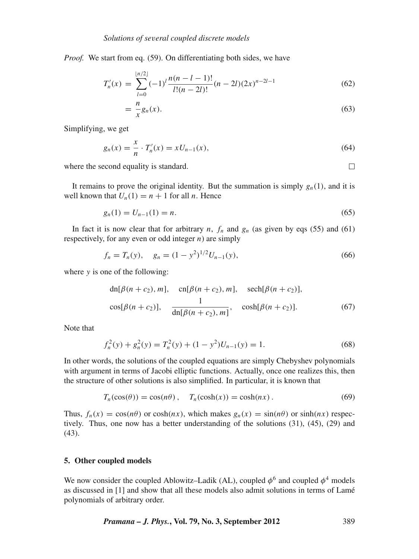*Proof.* We start from eq. (59). On differentiating both sides, we have

$$
T'_n(x) = \sum_{l=0}^{\lfloor n/2 \rfloor} (-1)^l \frac{n(n-l-1)!}{l!(n-2l)!} (n-2l)(2x)^{n-2l-1}
$$
(62)

$$
=\frac{n}{x}g_n(x).
$$
\n(63)

Simplifying, we get

$$
g_n(x) = \frac{x}{n} \cdot T'_n(x) = x U_{n-1}(x), \tag{64}
$$

where the second equality is standard.

 $\Box$ 

It remains to prove the original identity. But the summation is simply  $g_n(1)$ , and it is well known that  $U_n(1) = n + 1$  for all *n*. Hence

$$
g_n(1) = U_{n-1}(1) = n. \tag{65}
$$

In fact it is now clear that for arbitrary  $n$ ,  $f_n$  and  $g_n$  (as given by eqs (55) and (61) respectively, for any even or odd integer *n*) are simply

$$
f_n = T_n(y), \quad g_n = (1 - y^2)^{1/2} U_{n-1}(y), \tag{66}
$$

where *y* is one of the following:

$$
\text{dn}[\beta(n+c_2), m], \quad \text{cn}[\beta(n+c_2), m], \quad \text{sech}[\beta(n+c_2)],
$$
\n
$$
\cos[\beta(n+c_2)], \quad \frac{1}{\text{dn}[\beta(n+c_2), m]}, \quad \cosh[\beta(n+c_2)]. \tag{67}
$$

Note that

$$
f_n^2(y) + g_n^2(y) = T_n^2(y) + (1 - y^2)U_{n-1}(y) = 1.
$$
 (68)

In other words, the solutions of the coupled equations are simply Chebyshev polynomials with argument in terms of Jacobi elliptic functions. Actually, once one realizes this, then the structure of other solutions is also simplified. In particular, it is known that

$$
T_n(\cos(\theta)) = \cos(n\theta), \quad T_n(\cosh(x)) = \cosh(nx). \tag{69}
$$

Thus,  $f_n(x) = \cos(n\theta)$  or  $\cosh(nx)$ , which makes  $g_n(x) = \sin(n\theta)$  or  $\sinh(nx)$  respectively. Thus, one now has a better understanding of the solutions (31), (45), (29) and (43).

# **5. Other coupled models**

We now consider the coupled Ablowitz–Ladik (AL), coupled  $\phi^6$  and coupled  $\phi^4$  models as discussed in [1] and show that all these models also admit solutions in terms of Lamé polynomials of arbitrary order.

*Pramana – J. Phys.***, Vol. 79, No. 3, September 2012** 389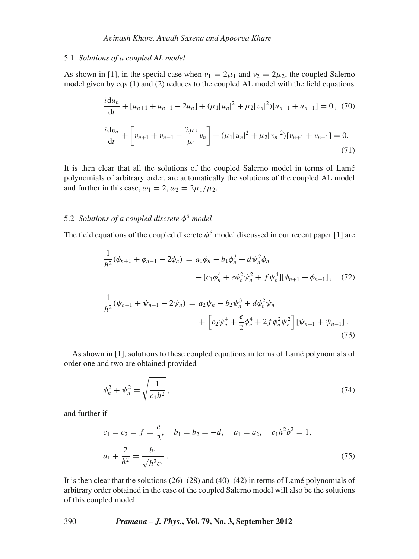#### 5.1 *Solutions of a coupled AL model*

As shown in [1], in the special case when  $v_1 = 2\mu_1$  and  $v_2 = 2\mu_2$ , the coupled Salerno model given by eqs (1) and (2) reduces to the coupled AL model with the field equations

$$
\frac{i \, du_n}{dt} + [u_{n+1} + u_{n-1} - 2u_n] + (\mu_1 |u_n|^2 + \mu_2 |v_n|^2) [u_{n+1} + u_{n-1}] = 0, \tag{70}
$$
\n
$$
\frac{i \, dv_n}{dt} + \left[ v_{n+1} + v_{n-1} - \frac{2\mu_2}{\mu_1} v_n \right] + (\mu_1 |u_n|^2 + \mu_2 |v_n|^2) [v_{n+1} + v_{n-1}] = 0. \tag{71}
$$

It is then clear that all the solutions of the coupled Salerno model in terms of Lamé polynomials of arbitrary order, are automatically the solutions of the coupled AL model and further in this case,  $\omega_1 = 2$ ,  $\omega_2 = 2\mu_1/\mu_2$ .

# 5.2 *Solutions of a coupled discrete* φ<sup>6</sup> *model*

The field equations of the coupled discrete  $\phi^6$  model discussed in our recent paper [1] are

$$
\frac{1}{h^2}(\phi_{n+1} + \phi_{n-1} - 2\phi_n) = a_1\phi_n - b_1\phi_n^3 + d\psi_n^2\phi_n
$$
  
+  $[c_1\phi_n^4 + e\phi_n^2\psi_n^2 + f\psi_n^4][\phi_{n+1} + \phi_{n-1}],$  (72)

$$
\frac{1}{h^2}(\psi_{n+1} + \psi_{n-1} - 2\psi_n) = a_2\psi_n - b_2\psi_n^3 + d\phi_n^2\psi_n + \left[c_2\psi_n^4 + \frac{e}{2}\phi_n^4 + 2f\phi_n^2\psi_n^2\right] [\psi_{n+1} + \psi_{n-1}].
$$
\n(73)

As shown in [1], solutions to these coupled equations in terms of Lamé polynomials of order one and two are obtained provided

$$
\phi_n^2 + \psi_n^2 = \sqrt{\frac{1}{c_1 h^2}}\,,\tag{74}
$$

and further if

$$
c_1 = c_2 = f = \frac{e}{2}, \quad b_1 = b_2 = -d, \quad a_1 = a_2, \quad c_1 h^2 b^2 = 1,
$$
  

$$
a_1 + \frac{2}{h^2} = \frac{b_1}{\sqrt{h^2 c_1}}.
$$
 (75)

It is then clear that the solutions  $(26)$ – $(28)$  and  $(40)$ – $(42)$  in terms of Lamé polynomials of arbitrary order obtained in the case of the coupled Salerno model will also be the solutions of this coupled model.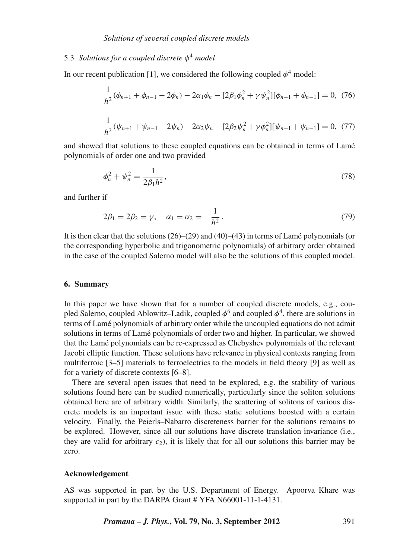# 5.3 *Solutions for a coupled discrete* φ<sup>4</sup> *model*

In our recent publication [1], we considered the following coupled  $\phi^4$  model:

$$
\frac{1}{h^2}(\phi_{n+1} + \phi_{n-1} - 2\phi_n) - 2\alpha_1\phi_n - [2\beta_1\phi_n^2 + \gamma\psi_n^2][\phi_{n+1} + \phi_{n-1}] = 0, (76)
$$
  

$$
\frac{1}{h^2}(\psi_{n+1} + \psi_{n-1} - 2\psi_n) - 2\alpha_2\psi_n - [2\beta_2\psi_n^2 + \gamma\phi_n^2][\psi_{n+1} + \psi_{n-1}] = 0, (77)
$$

and showed that solutions to these coupled equations can be obtained in terms of Lamé polynomials of order one and two provided

$$
\phi_n^2 + \psi_n^2 = \frac{1}{2\beta_1 h^2},\tag{78}
$$

and further if

$$
2\beta_1 = 2\beta_2 = \gamma, \quad \alpha_1 = \alpha_2 = -\frac{1}{h^2}.
$$
 (79)

It is then clear that the solutions  $(26)$ – $(29)$  and  $(40)$ – $(43)$  in terms of Lamé polynomials (or the corresponding hyperbolic and trigonometric polynomials) of arbitrary order obtained in the case of the coupled Salerno model will also be the solutions of this coupled model.

#### **6. Summary**

In this paper we have shown that for a number of coupled discrete models, e.g., coupled Salerno, coupled Ablowitz–Ladik, coupled  $\phi^6$  and coupled  $\phi^4$ , there are solutions in terms of Lamé polynomials of arbitrary order while the uncoupled equations do not admit solutions in terms of Lamé polynomials of order two and higher. In particular, we showed that the Lamé polynomials can be re-expressed as Chebyshev polynomials of the relevant Jacobi elliptic function. These solutions have relevance in physical contexts ranging from multiferroic [3–5] materials to ferroelectrics to the models in field theory [9] as well as for a variety of discrete contexts [6–8].

There are several open issues that need to be explored, e.g. the stability of various solutions found here can be studied numerically, particularly since the soliton solutions obtained here are of arbitrary width. Similarly, the scattering of solitons of various discrete models is an important issue with these static solutions boosted with a certain velocity. Finally, the Peierls–Nabarro discreteness barrier for the solutions remains to be explored. However, since all our solutions have discrete translation invariance (i.e., they are valid for arbitrary  $c_2$ ), it is likely that for all our solutions this barrier may be zero.

# **Acknowledgement**

AS was supported in part by the U.S. Department of Energy. Apoorva Khare was supported in part by the DARPA Grant # YFA N66001-11-1-4131.